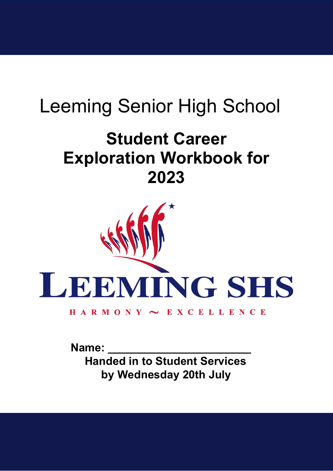# Leeming Senior High School

## **Student Career Exploration Workbook for 2023**



Name:  **Handed in to Student Services by Wednesday 20th July**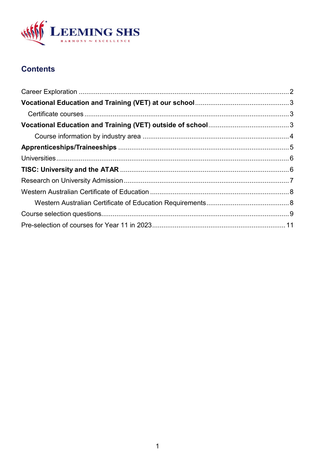

## **Contents**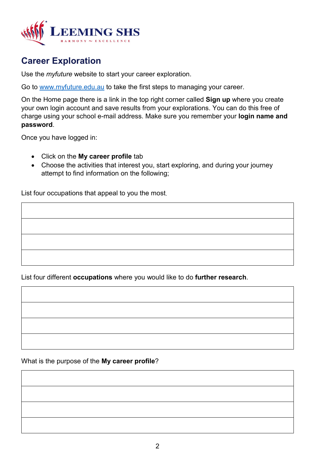

### <span id="page-2-0"></span>**Career Exploration**

Use the *myfuture* website to start your career exploration.

Go to [www.myfuture.edu.au](http://www.myfuture.edu.au/) to take the first steps to managing your career.

On the Home page there is a link in the top right corner called **Sign up** where you create your own login account and save results from your explorations. You can do this free of charge using your school e-mail address. Make sure you remember your **login name and password**.

Once you have logged in:

- Click on the **My career profile** tab
- Choose the activities that interest you, start exploring, and during your journey attempt to find information on the following;

List four occupations that appeal to you the most.

List four different **occupations** where you would like to do **further research**.

What is the purpose of the **My career profile**?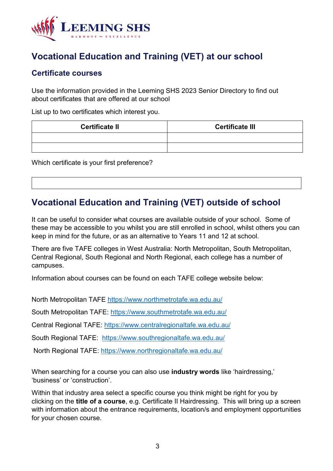

## <span id="page-3-0"></span>**Vocational Education and Training (VET) at our school**

#### <span id="page-3-1"></span>**Certificate courses**

Use the information provided in the Leeming SHS 2023 Senior Directory to find out about certificates that are offered at our school

List up to two certificates which interest you.

| <b>Certificate II</b> | <b>Certificate III</b> |
|-----------------------|------------------------|
|                       |                        |
|                       |                        |

Which certificate is your first preference?

## <span id="page-3-2"></span>**Vocational Education and Training (VET) outside of school**

It can be useful to consider what courses are available outside of your school. Some of these may be accessible to you whilst you are still enrolled in school, whilst others you can keep in mind for the future, or as an alternative to Years 11 and 12 at school.

There are five TAFE colleges in West Australia: North Metropolitan, South Metropolitan, Central Regional, South Regional and North Regional, each college has a number of campuses.

Information about courses can be found on each TAFE college website below:

North Metropolitan TAFE <https://www.northmetrotafe.wa.edu.au/>

South Metropolitan TAFE:<https://www.southmetrotafe.wa.edu.au/>

Central Regional TAFE:<https://www.centralregionaltafe.wa.edu.au/>

South Regional TAFE: <https://www.southregionaltafe.wa.edu.au/>

North Regional TAFE: <https://www.northregionaltafe.wa.edu.au/>

When searching for a course you can also use **industry words** like 'hairdressing,' 'business' or 'construction'.

Within that industry area select a specific course you think might be right for you by clicking on the **title of a course**, e.g. Certificate II Hairdressing. This will bring up a screen with information about the entrance requirements, location/s and employment opportunities for your chosen course.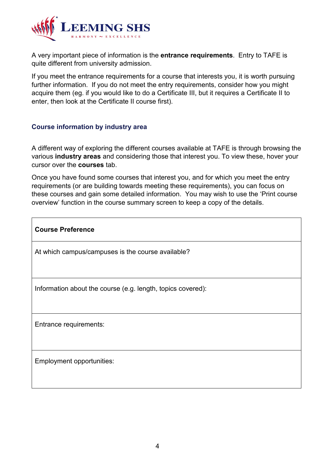

A very important piece of information is the **entrance requirements**. Entry to TAFE is quite different from university admission.

If you meet the entrance requirements for a course that interests you, it is worth pursuing further information. If you do not meet the entry requirements, consider how you might acquire them (eg. if you would like to do a Certificate III, but it requires a Certificate II to enter, then look at the Certificate II course first).

#### <span id="page-4-0"></span>**Course information by industry area**

A different way of exploring the different courses available at TAFE is through browsing the various **industry areas** and considering those that interest you. To view these, hover your cursor over the **courses** tab.

Once you have found some courses that interest you, and for which you meet the entry requirements (or are building towards meeting these requirements), you can focus on these courses and gain some detailed information. You may wish to use the 'Print course overview' function in the course summary screen to keep a copy of the details.

**Course Preference**

At which campus/campuses is the course available?

Information about the course (e.g. length, topics covered):

Entrance requirements:

Employment opportunities: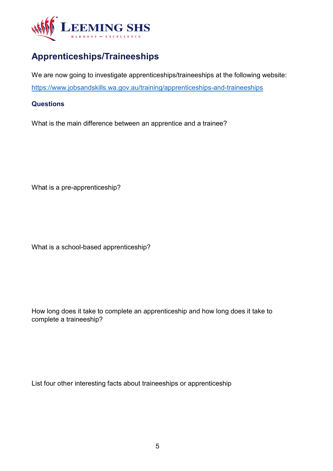

## <span id="page-5-0"></span>**Apprenticeships/Traineeships**

We are now going to investigate apprenticeships/traineeships at the following website: <https://www.jobsandskills.wa.gov.au/training/apprenticeships-and-traineeships>

#### **Questions**

What is the main difference between an apprentice and a trainee?

What is a pre-apprenticeship?

What is a school-based apprenticeship?

How long does it take to complete an apprenticeship and how long does it take to complete a traineeship?

List four other interesting facts about traineeships or apprenticeship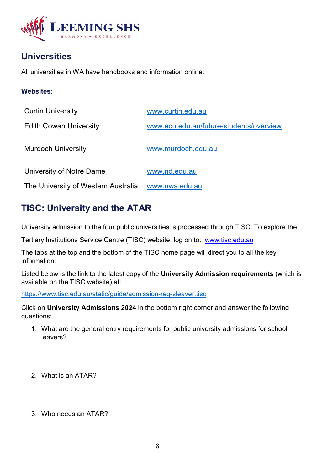

## <span id="page-6-0"></span>**Universities**

All universities in WA have handbooks and information online.

#### **Websites:**

| <b>Curtin University</b>            | www.curtin.edu.au                       |
|-------------------------------------|-----------------------------------------|
| <b>Edith Cowan University</b>       | www.ecu.edu.au/future-students/overview |
| <b>Murdoch University</b>           | www.murdoch.edu.au                      |
| University of Notre Dame            | www.nd.edu.au                           |
| The University of Western Australia | www.uwa.edu.au                          |

## <span id="page-6-1"></span>**TISC: University and the ATAR**

University admission to the four public universities is processed through TISC. To explore the

Tertiary Institutions Service Centre (TISC) website, log on to: [www.tisc.edu.au](http://www.tisc.edu.au/)

The tabs at the top and the bottom of the TISC home page will direct you to all the key information:

Listed below is the link to the latest copy of the **University Admission requirements** (which is available on the TISC website) at:

[https://www.tisc.edu.au/static/guide/admission-req-sleaver.tisc](https://aus01.safelinks.protection.outlook.com/?url=https%3A%2F%2Fwww.tisc.edu.au%2Fstatic%2Fguide%2Fadmission-req-sleaver.tisc&data=04%7C01%7Cmariadelsangels.gilabertjaumot%40education.wa.edu.au%7C970158d586884504dd7e08d92a4234a9%7Ce08016f9d1fd4cbb83b0b76eb4361627%7C0%7C0%7C637587286095674030%7CUnknown%7CTWFpbGZsb3d8eyJWIjoiMC4wLjAwMDAiLCJQIjoiV2luMzIiLCJBTiI6Ik1haWwiLCJXVCI6Mn0%3D%7C1000&sdata=p8JnzWmttiM3%2FOS8LFJnmQomfLEnFQoU3pXjrTV4m60%3D&reserved=0)

Click on **University Admissions 2024** in the bottom right corner and answer the following questions:

- 1. What are the general entry requirements for public university admissions for school leavers?
- 2. What is an ATAR?
- 3. Who needs an ATAR?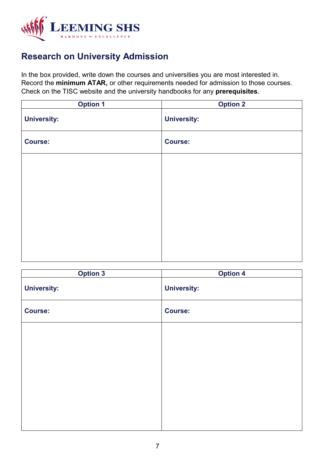

## <span id="page-7-0"></span>**Research on University Admission**

In the box provided, write down the courses and universities you are most interested in. Record the **minimum ATAR,** or other requirements needed for admission to those courses. Check on the TISC website and the university handbooks for any **prerequisites**.

| <b>Option 1</b>    | <b>Option 2</b>    |
|--------------------|--------------------|
| <b>University:</b> | <b>University:</b> |
| <b>Course:</b>     | <b>Course:</b>     |
|                    |                    |
|                    |                    |
|                    |                    |
|                    |                    |
|                    |                    |
|                    |                    |
|                    |                    |

| <b>Option 3</b>    | <b>Option 4</b>    |
|--------------------|--------------------|
| <b>University:</b> | <b>University:</b> |
| <b>Course:</b>     | <b>Course:</b>     |
|                    |                    |
|                    |                    |
|                    |                    |
|                    |                    |
|                    |                    |
|                    |                    |
|                    |                    |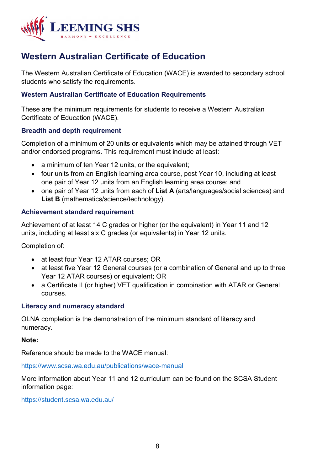

## <span id="page-8-0"></span>**Western Australian Certificate of Education**

The Western Australian Certificate of Education (WACE) is awarded to secondary school students who satisfy the requirements.

#### <span id="page-8-1"></span>**Western Australian Certificate of Education Requirements**

These are the minimum requirements for students to receive a Western Australian Certificate of Education (WACE).

#### **Breadth and depth requirement**

Completion of a minimum of 20 units or equivalents which may be attained through VET and/or endorsed programs. This requirement must include at least:

- a minimum of ten Year 12 units, or the equivalent;
- four units from an English learning area course, post Year 10, including at least one pair of Year 12 units from an English learning area course; and
- one pair of Year 12 units from each of **List A** (arts/languages/social sciences) and **List B** (mathematics/science/technology).

#### **Achievement standard requirement**

Achievement of at least 14 C grades or higher (or the equivalent) in Year 11 and 12 units, including at least six C grades (or equivalents) in Year 12 units.

Completion of:

- at least four Year 12 ATAR courses; OR
- at least five Year 12 General courses (or a combination of General and up to three Year 12 ATAR courses) or equivalent; OR
- a Certificate II (or higher) VET qualification in combination with ATAR or General courses.

#### **Literacy and numeracy standard**

OLNA completion is the demonstration of the minimum standard of literacy and numeracy.

#### **Note:**

Reference should be made to the WACE manual:

<https://www.scsa.wa.edu.au/publications/wace-manual>

More information about Year 11 and 12 curriculum can be found on the SCSA Student information page:

<https://student.scsa.wa.edu.au/>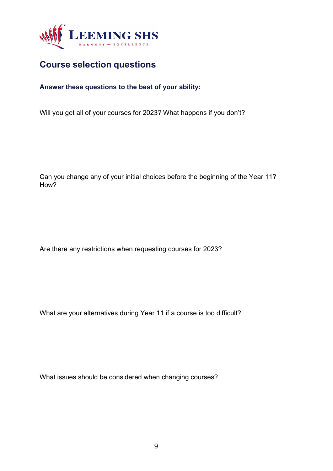

## <span id="page-9-0"></span>**Course selection questions**

#### **Answer these questions to the best of your ability:**

Will you get all of your courses for 2023? What happens if you don't?

Can you change any of your initial choices before the beginning of the Year 11? How?

Are there any restrictions when requesting courses for 2023?

What are your alternatives during Year 11 if a course is too difficult?

What issues should be considered when changing courses?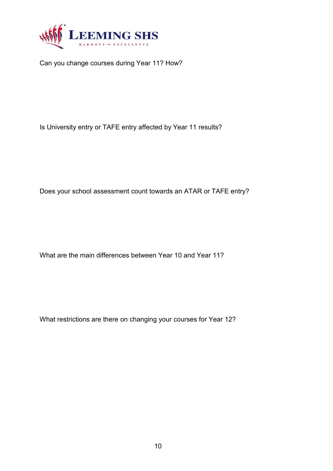

Can you change courses during Year 11? How?

Is University entry or TAFE entry affected by Year 11 results?

Does your school assessment count towards an ATAR or TAFE entry?

What are the main differences between Year 10 and Year 11?

What restrictions are there on changing your courses for Year 12?